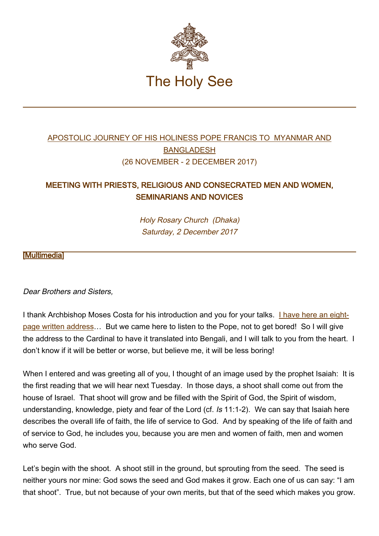

# [APOSTOLIC JOURNEY OF HIS HOLINESS POPE FRANCIS TO MYANMAR AND](http://w2.vatican.va/content/francesco/en/travels/2017/outside/documents/papa-francesco-myanmar-bangladesh_2017.html) [BANGLADESH](http://w2.vatican.va/content/francesco/en/travels/2017/outside/documents/papa-francesco-myanmar-bangladesh_2017.html) (26 NOVEMBER - 2 DECEMBER 2017)

## MEETING WITH PRIESTS, RELIGIOUS AND CONSECRATED MEN AND WOMEN, SEMINARIANS AND NOVICES

Holy Rosary Church (Dhaka) Saturday, 2 December 2017

#### **Multimedia1**

Dear Brothers and Sisters,

I thank Archbishop Moses Costa for his introduction and you for your talks. [I have here an eight](#page-3-0)[page written address](#page-3-0)… But we came here to listen to the Pope, not to get bored! So I will give the address to the Cardinal to have it translated into Bengali, and I will talk to you from the heart. I don't know if it will be better or worse, but believe me, it will be less boring!

When I entered and was greeting all of you, I thought of an image used by the prophet Isaiah: It is the first reading that we will hear next Tuesday. In those days, a shoot shall come out from the house of Israel. That shoot will grow and be filled with the Spirit of God, the Spirit of wisdom, understanding, knowledge, piety and fear of the Lord (cf. Is 11:1-2). We can say that Isaiah here describes the overall life of faith, the life of service to God. And by speaking of the life of faith and of service to God, he includes you, because you are men and women of faith, men and women who serve God.

Let's begin with the shoot. A shoot still in the ground, but sprouting from the seed. The seed is neither yours nor mine: God sows the seed and God makes it grow. Each one of us can say: "I am that shoot". True, but not because of your own merits, but that of the seed which makes you grow.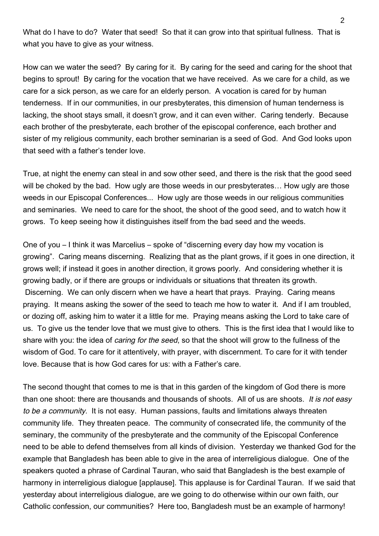What do I have to do? Water that seed! So that it can grow into that spiritual fullness. That is what you have to give as your witness.

How can we water the seed? By caring for it. By caring for the seed and caring for the shoot that begins to sprout! By caring for the vocation that we have received. As we care for a child, as we care for a sick person, as we care for an elderly person. A vocation is cared for by human tenderness. If in our communities, in our presbyterates, this dimension of human tenderness is lacking, the shoot stays small, it doesn't grow, and it can even wither. Caring tenderly. Because each brother of the presbyterate, each brother of the episcopal conference, each brother and sister of my religious community, each brother seminarian is a seed of God. And God looks upon that seed with a father's tender love.

True, at night the enemy can steal in and sow other seed, and there is the risk that the good seed will be choked by the bad. How ugly are those weeds in our presbyterates... How ugly are those weeds in our Episcopal Conferences... How ugly are those weeds in our religious communities and seminaries. We need to care for the shoot, the shoot of the good seed, and to watch how it grows. To keep seeing how it distinguishes itself from the bad seed and the weeds.

One of you – I think it was Marcelius – spoke of "discerning every day how my vocation is growing". Caring means discerning. Realizing that as the plant grows, if it goes in one direction, it grows well; if instead it goes in another direction, it grows poorly. And considering whether it is growing badly, or if there are groups or individuals or situations that threaten its growth. Discerning. We can only discern when we have a heart that prays. Praying. Caring means praying. It means asking the sower of the seed to teach me how to water it. And if I am troubled, or dozing off, asking him to water it a little for me. Praying means asking the Lord to take care of us. To give us the tender love that we must give to others. This is the first idea that I would like to share with you: the idea of *caring for the seed*, so that the shoot will grow to the fullness of the wisdom of God. To care for it attentively, with prayer, with discernment. To care for it with tender love. Because that is how God cares for us: with a Father's care.

The second thought that comes to me is that in this garden of the kingdom of God there is more than one shoot: there are thousands and thousands of shoots. All of us are shoots. It is not easy to be a community. It is not easy. Human passions, faults and limitations always threaten community life. They threaten peace. The community of consecrated life, the community of the seminary, the community of the presbyterate and the community of the Episcopal Conference need to be able to defend themselves from all kinds of division. Yesterday we thanked God for the example that Bangladesh has been able to give in the area of interreligious dialogue. One of the speakers quoted a phrase of Cardinal Tauran, who said that Bangladesh is the best example of harmony in interreligious dialogue [applause]. This applause is for Cardinal Tauran. If we said that yesterday about interreligious dialogue, are we going to do otherwise within our own faith, our Catholic confession, our communities? Here too, Bangladesh must be an example of harmony!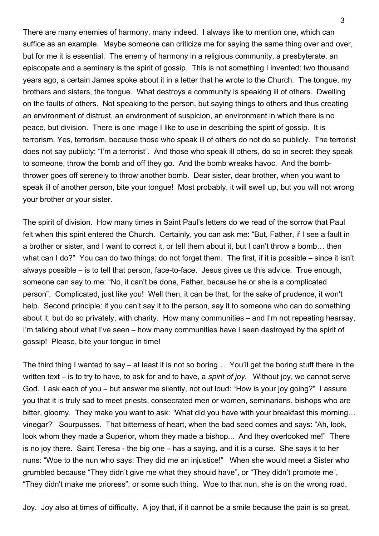There are many enemies of harmony, many indeed. I always like to mention one, which can suffice as an example. Maybe someone can criticize me for saying the same thing over and over, but for me it is essential. The enemy of harmony in a religious community, a presbyterate, an episcopate and a seminary is the spirit of gossip. This is not something I invented: two thousand years ago, a certain James spoke about it in a letter that he wrote to the Church. The tongue, my brothers and sisters, the tongue. What destroys a community is speaking ill of others. Dwelling on the faults of others. Not speaking to the person, but saying things to others and thus creating an environment of distrust, an environment of suspicion, an environment in which there is no peace, but division. There is one image I like to use in describing the spirit of gossip. It is terrorism. Yes, terrorism, because those who speak ill of others do not do so publicly. The terrorist does not say publicly: "I'm a terrorist". And those who speak ill others, do so in secret: they speak to someone, throw the bomb and off they go. And the bomb wreaks havoc. And the bombthrower goes off serenely to throw another bomb. Dear sister, dear brother, when you want to speak ill of another person, bite your tongue! Most probably, it will swell up, but you will not wrong your brother or your sister.

The spirit of division. How many times in Saint Paul's letters do we read of the sorrow that Paul felt when this spirit entered the Church. Certainly, you can ask me: "But, Father, if I see a fault in a brother or sister, and I want to correct it, or tell them about it, but I can't throw a bomb… then what can I do?" You can do two things: do not forget them. The first, if it is possible – since it isn't always possible – is to tell that person, face-to-face. Jesus gives us this advice. True enough, someone can say to me: "No, it can't be done, Father, because he or she is a complicated person". Complicated, just like you! Well then, it can be that, for the sake of prudence, it won't help. Second principle: if you can't say it to the person, say it to someone who can do something about it, but do so privately, with charity. How many communities – and I'm not repeating hearsay, I'm talking about what I've seen – how many communities have I seen destroyed by the spirit of gossip! Please, bite your tongue in time!

The third thing I wanted to say – at least it is not so boring… You'll get the boring stuff there in the written text – is to try to have, to ask for and to have, a *spirit of joy*. Without joy, we cannot serve God. I ask each of you – but answer me silently, not out loud: "How is your joy going?" I assure you that it is truly sad to meet priests, consecrated men or women, seminarians, bishops who are bitter, gloomy. They make you want to ask: "What did you have with your breakfast this morning… vinegar?" Sourpusses. That bitterness of heart, when the bad seed comes and says: "Ah, look, look whom they made a Superior, whom they made a bishop... And they overlooked me!" There is no joy there. Saint Teresa - the big one – has a saying, and it is a curse. She says it to her nuns: "Woe to the nun who says: They did me an injustice!" When she would meet a Sister who grumbled because "They didn't give me what they should have", or "They didn't promote me", "They didn't make me prioress", or some such thing. Woe to that nun, she is on the wrong road.

Joy. Joy also at times of difficulty. A joy that, if it cannot be a smile because the pain is so great,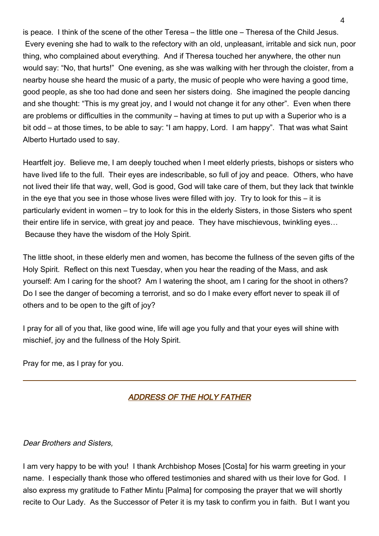is peace. I think of the scene of the other Teresa – the little one – Theresa of the Child Jesus. Every evening she had to walk to the refectory with an old, unpleasant, irritable and sick nun, poor thing, who complained about everything. And if Theresa touched her anywhere, the other nun would say: "No, that hurts!" One evening, as she was walking with her through the cloister, from a nearby house she heard the music of a party, the music of people who were having a good time, good people, as she too had done and seen her sisters doing. She imagined the people dancing and she thought: "This is my great joy, and I would not change it for any other". Even when there are problems or difficulties in the community – having at times to put up with a Superior who is a bit odd – at those times, to be able to say: "I am happy, Lord. I am happy". That was what Saint Alberto Hurtado used to say.

Heartfelt joy. Believe me, I am deeply touched when I meet elderly priests, bishops or sisters who have lived life to the full. Their eyes are indescribable, so full of joy and peace. Others, who have not lived their life that way, well, God is good, God will take care of them, but they lack that twinkle in the eye that you see in those whose lives were filled with joy. Try to look for this – it is particularly evident in women – try to look for this in the elderly Sisters, in those Sisters who spent their entire life in service, with great joy and peace. They have mischievous, twinkling eyes… Because they have the wisdom of the Holy Spirit.

The little shoot, in these elderly men and women, has become the fullness of the seven gifts of the Holy Spirit. Reflect on this next Tuesday, when you hear the reading of the Mass, and ask yourself: Am I caring for the shoot? Am I watering the shoot, am I caring for the shoot in others? Do I see the danger of becoming a terrorist, and so do I make every effort never to speak ill of others and to be open to the gift of joy?

I pray for all of you that, like good wine, life will age you fully and that your eyes will shine with mischief, joy and the fullness of the Holy Spirit.

Pray for me, as I pray for you.

### <span id="page-3-0"></span>ADDRESS OF THE HOLY FATHER

#### Dear Brothers and Sisters,

I am very happy to be with you! I thank Archbishop Moses [Costa] for his warm greeting in your name. I especially thank those who offered testimonies and shared with us their love for God. I also express my gratitude to Father Mintu [Palma] for composing the prayer that we will shortly recite to Our Lady. As the Successor of Peter it is my task to confirm you in faith. But I want you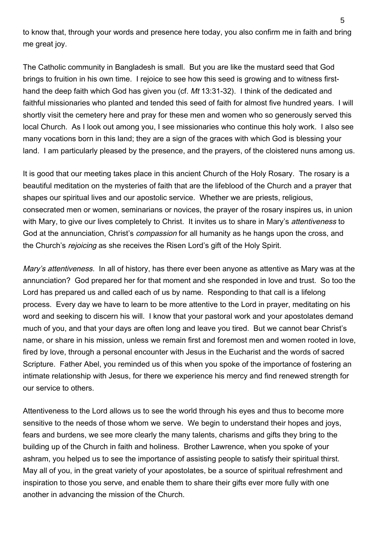to know that, through your words and presence here today, you also confirm me in faith and bring me great joy.

The Catholic community in Bangladesh is small. But you are like the mustard seed that God brings to fruition in his own time. I rejoice to see how this seed is growing and to witness firsthand the deep faith which God has given you (cf. Mt 13:31-32). I think of the dedicated and faithful missionaries who planted and tended this seed of faith for almost five hundred years. I will shortly visit the cemetery here and pray for these men and women who so generously served this local Church. As I look out among you, I see missionaries who continue this holy work. I also see many vocations born in this land; they are a sign of the graces with which God is blessing your land. I am particularly pleased by the presence, and the prayers, of the cloistered nuns among us.

It is good that our meeting takes place in this ancient Church of the Holy Rosary. The rosary is a beautiful meditation on the mysteries of faith that are the lifeblood of the Church and a prayer that shapes our spiritual lives and our apostolic service. Whether we are priests, religious, consecrated men or women, seminarians or novices, the prayer of the rosary inspires us, in union with Mary, to give our lives completely to Christ. It invites us to share in Mary's *attentiveness* to God at the annunciation, Christ's *compassion* for all humanity as he hangs upon the cross, and the Church's rejoicing as she receives the Risen Lord's gift of the Holy Spirit.

Mary's attentiveness. In all of history, has there ever been anyone as attentive as Mary was at the annunciation? God prepared her for that moment and she responded in love and trust. So too the Lord has prepared us and called each of us by name. Responding to that call is a lifelong process. Every day we have to learn to be more attentive to the Lord in prayer, meditating on his word and seeking to discern his will. I know that your pastoral work and your apostolates demand much of you, and that your days are often long and leave you tired. But we cannot bear Christ's name, or share in his mission, unless we remain first and foremost men and women rooted in love, fired by love, through a personal encounter with Jesus in the Eucharist and the words of sacred Scripture. Father Abel, you reminded us of this when you spoke of the importance of fostering an intimate relationship with Jesus, for there we experience his mercy and find renewed strength for our service to others.

Attentiveness to the Lord allows us to see the world through his eyes and thus to become more sensitive to the needs of those whom we serve. We begin to understand their hopes and joys, fears and burdens, we see more clearly the many talents, charisms and gifts they bring to the building up of the Church in faith and holiness. Brother Lawrence, when you spoke of your ashram, you helped us to see the importance of assisting people to satisfy their spiritual thirst. May all of you, in the great variety of your apostolates, be a source of spiritual refreshment and inspiration to those you serve, and enable them to share their gifts ever more fully with one another in advancing the mission of the Church.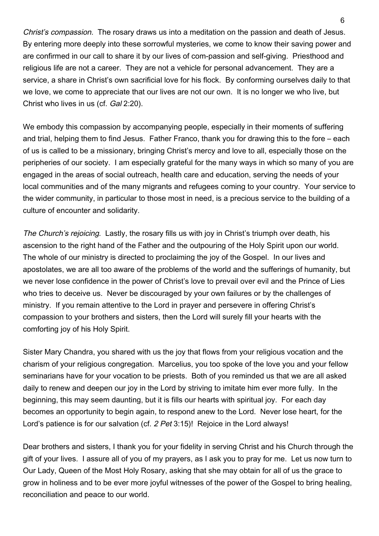Christ's compassion. The rosary draws us into a meditation on the passion and death of Jesus. By entering more deeply into these sorrowful mysteries, we come to know their saving power and are confirmed in our call to share it by our lives of com-passion and self-giving. Priesthood and religious life are not a career. They are not a vehicle for personal advancement. They are a service, a share in Christ's own sacrificial love for his flock. By conforming ourselves daily to that we love, we come to appreciate that our lives are not our own. It is no longer we who live, but Christ who lives in us (cf. Gal 2:20).

We embody this compassion by accompanying people, especially in their moments of suffering and trial, helping them to find Jesus. Father Franco, thank you for drawing this to the fore – each of us is called to be a missionary, bringing Christ's mercy and love to all, especially those on the peripheries of our society. I am especially grateful for the many ways in which so many of you are engaged in the areas of social outreach, health care and education, serving the needs of your local communities and of the many migrants and refugees coming to your country. Your service to the wider community, in particular to those most in need, is a precious service to the building of a culture of encounter and solidarity.

The Church's rejoicing. Lastly, the rosary fills us with joy in Christ's triumph over death, his ascension to the right hand of the Father and the outpouring of the Holy Spirit upon our world. The whole of our ministry is directed to proclaiming the joy of the Gospel. In our lives and apostolates, we are all too aware of the problems of the world and the sufferings of humanity, but we never lose confidence in the power of Christ's love to prevail over evil and the Prince of Lies who tries to deceive us. Never be discouraged by your own failures or by the challenges of ministry. If you remain attentive to the Lord in prayer and persevere in offering Christ's compassion to your brothers and sisters, then the Lord will surely fill your hearts with the comforting joy of his Holy Spirit.

Sister Mary Chandra, you shared with us the joy that flows from your religious vocation and the charism of your religious congregation. Marcelius, you too spoke of the love you and your fellow seminarians have for your vocation to be priests. Both of you reminded us that we are all asked daily to renew and deepen our joy in the Lord by striving to imitate him ever more fully. In the beginning, this may seem daunting, but it is fills our hearts with spiritual joy. For each day becomes an opportunity to begin again, to respond anew to the Lord. Never lose heart, for the Lord's patience is for our salvation (cf. 2 Pet 3:15)! Rejoice in the Lord always!

Dear brothers and sisters, I thank you for your fidelity in serving Christ and his Church through the gift of your lives. I assure all of you of my prayers, as I ask you to pray for me. Let us now turn to Our Lady, Queen of the Most Holy Rosary, asking that she may obtain for all of us the grace to grow in holiness and to be ever more joyful witnesses of the power of the Gospel to bring healing, reconciliation and peace to our world.